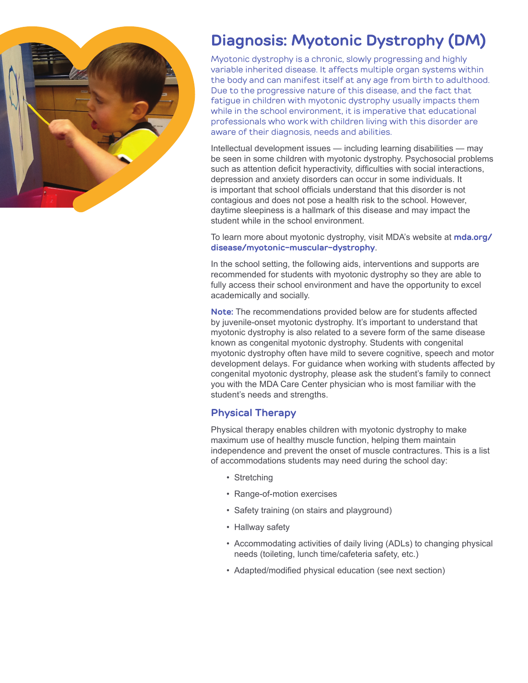

# **Diagnosis: Myotonic Dystrophy (DM)**

Myotonic dystrophy is a chronic, slowly progressing and highly variable inherited disease. It affects multiple organ systems within the body and can manifest itself at any age from birth to adulthood. Due to the progressive nature of this disease, and the fact that fatigue in children with myotonic dystrophy usually impacts them while in the school environment, it is imperative that educational professionals who work with children living with this disorder are aware of their diagnosis, needs and abilities.

Intellectual development issues — including learning disabilities — may be seen in some children with myotonic dystrophy. Psychosocial problems such as attention deficit hyperactivity, difficulties with social interactions, depression and anxiety disorders can occur in some individuals. It is important that school officials understand that this disorder is not contagious and does not pose a health risk to the school. However, daytime sleepiness is a hallmark of this disease and may impact the student while in the school environment.

To learn more about myotonic dystrophy, visit MDA's website at **mda.org/ disease/myotonic-muscular-dystrophy**.

In the school setting, the following aids, interventions and supports are recommended for students with myotonic dystrophy so they are able to fully access their school environment and have the opportunity to excel academically and socially.

**Note:** The recommendations provided below are for students affected by juvenile-onset myotonic dystrophy. It's important to understand that myotonic dystrophy is also related to a severe form of the same disease known as congenital myotonic dystrophy. Students with congenital myotonic dystrophy often have mild to severe cognitive, speech and motor development delays. For guidance when working with students affected by congenital myotonic dystrophy, please ask the student's family to connect you with the MDA Care Center physician who is most familiar with the student's needs and strengths.

#### **Physical Therapy**

Physical therapy enables children with myotonic dystrophy to make maximum use of healthy muscle function, helping them maintain independence and prevent the onset of muscle contractures. This is a list of accommodations students may need during the school day:

- Stretching
- Range-of-motion exercises
- Safety training (on stairs and playground)
- Hallway safety
- Accommodating activities of daily living (ADLs) to changing physical needs (toileting, lunch time/cafeteria safety, etc.)
- Adapted/modified physical education (see next section)